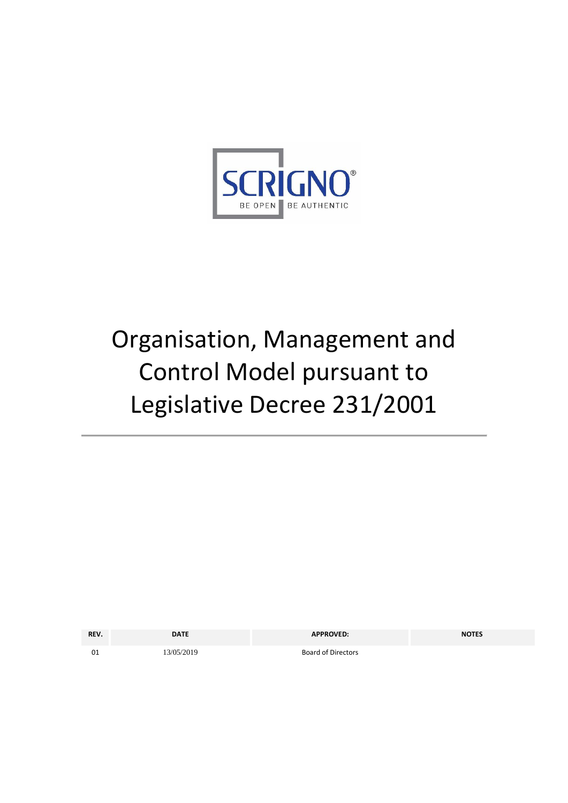

# Organisation, Management and Control Model pursuant to Legislative Decree 231/2001

| REV. | <b>DATE</b> | <b>APPROVED:</b>          | <b>NOTES</b> |
|------|-------------|---------------------------|--------------|
| 01   | 13/05/2019  | <b>Board of Directors</b> |              |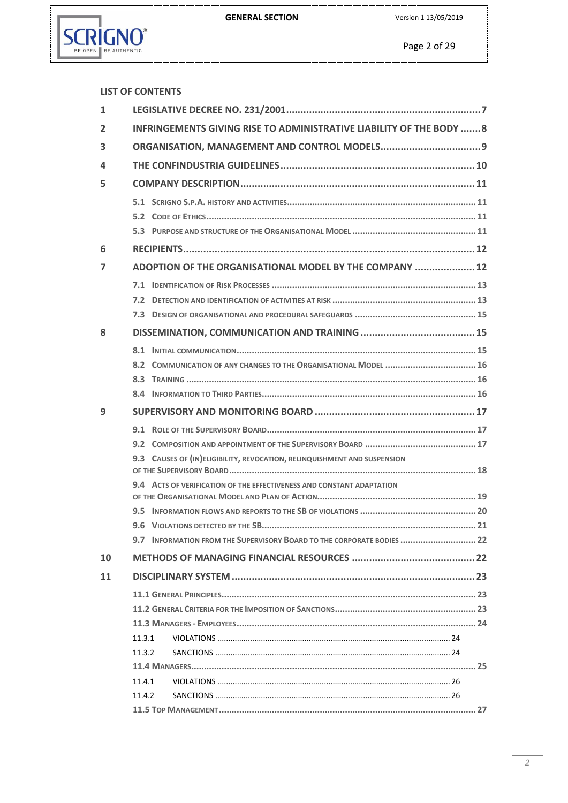GENERAL SECTION Version 1 13/05/2019



|                | <b>LIST OF CONTENTS</b>                                                   |  |  |  |  |
|----------------|---------------------------------------------------------------------------|--|--|--|--|
| $\mathbf{1}$   |                                                                           |  |  |  |  |
| $\overline{2}$ | INFRINGEMENTS GIVING RISE TO ADMINISTRATIVE LIABILITY OF THE BODY 8       |  |  |  |  |
| 3              |                                                                           |  |  |  |  |
| 4              |                                                                           |  |  |  |  |
| 5              |                                                                           |  |  |  |  |
|                |                                                                           |  |  |  |  |
|                |                                                                           |  |  |  |  |
|                |                                                                           |  |  |  |  |
| 6              |                                                                           |  |  |  |  |
| 7              | ADOPTION OF THE ORGANISATIONAL MODEL BY THE COMPANY  12                   |  |  |  |  |
|                |                                                                           |  |  |  |  |
|                |                                                                           |  |  |  |  |
|                |                                                                           |  |  |  |  |
| 8              |                                                                           |  |  |  |  |
|                |                                                                           |  |  |  |  |
|                | 8.2 COMMUNICATION OF ANY CHANGES TO THE ORGANISATIONAL MODEL  16          |  |  |  |  |
|                |                                                                           |  |  |  |  |
|                |                                                                           |  |  |  |  |
| 9              |                                                                           |  |  |  |  |
|                |                                                                           |  |  |  |  |
|                |                                                                           |  |  |  |  |
|                |                                                                           |  |  |  |  |
|                | 9.3 CAUSES OF (IN) ELIGIBILITY, REVOCATION, RELINQUISHMENT AND SUSPENSION |  |  |  |  |
|                |                                                                           |  |  |  |  |
|                | 9.4 ACTS OF VERIFICATION OF THE EFFECTIVENESS AND CONSTANT ADAPTATION     |  |  |  |  |
|                |                                                                           |  |  |  |  |
|                |                                                                           |  |  |  |  |
|                | 9.7 INFORMATION FROM THE SUPERVISORY BOARD TO THE CORPORATE BODIES  22    |  |  |  |  |
| 10             |                                                                           |  |  |  |  |
| 11             |                                                                           |  |  |  |  |
|                |                                                                           |  |  |  |  |
|                |                                                                           |  |  |  |  |
|                |                                                                           |  |  |  |  |
|                | 11.3.1                                                                    |  |  |  |  |
|                | 11.3.2                                                                    |  |  |  |  |
|                |                                                                           |  |  |  |  |
|                | 11.4.1                                                                    |  |  |  |  |
|                | 11.4.2                                                                    |  |  |  |  |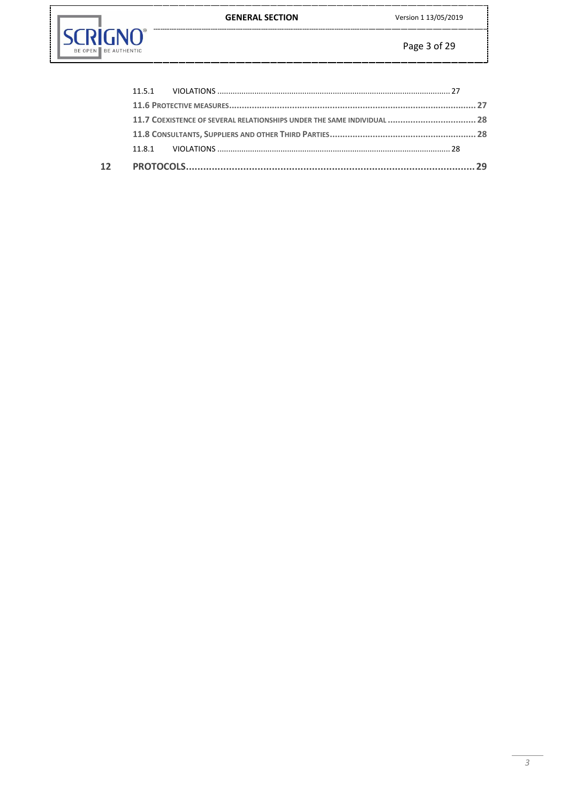**GENERAL SECTION** 



| 11.7 COEXISTENCE OF SEVERAL RELATIONSHIPS UNDER THE SAME INDIVIDUAL  28 |  |  |  |
|-------------------------------------------------------------------------|--|--|--|
|                                                                         |  |  |  |
|                                                                         |  |  |  |
|                                                                         |  |  |  |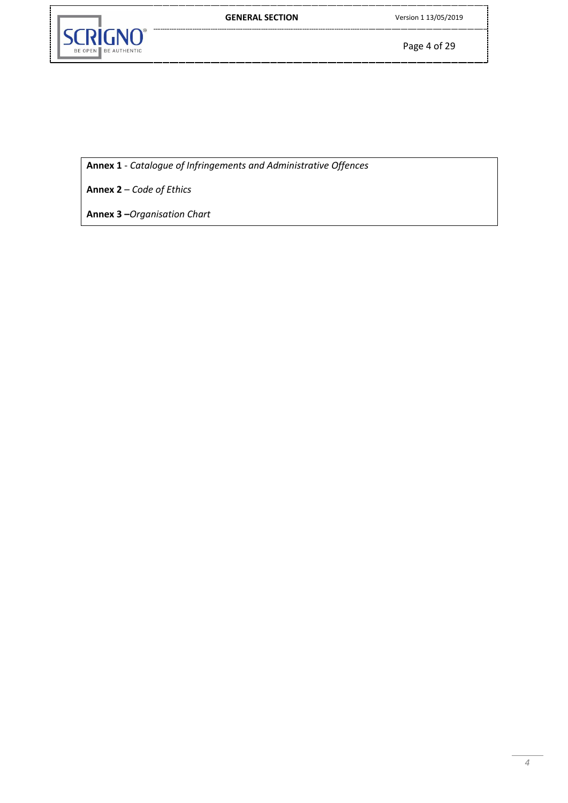

Page 4 of 29

**Annex 1** - *Catalogue of Infringements and Administrative Offences*

**Annex 2** – *Code of Ethics*

**Annex 3 –***Organisation Chart*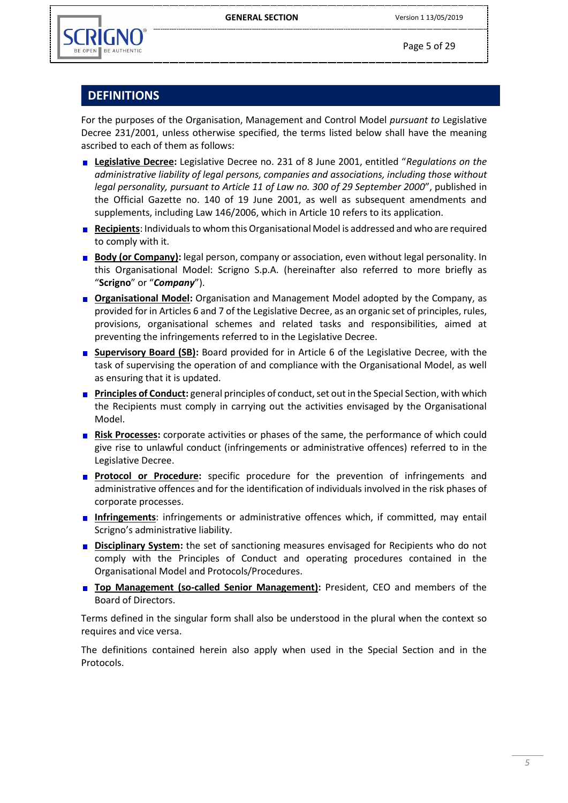

Page 5 of 29

# **DEFINITIONS**

For the purposes of the Organisation, Management and Control Model *pursuant to* Legislative Decree 231/2001, unless otherwise specified, the terms listed below shall have the meaning ascribed to each of them as follows:

- **Legislative Decree:** Legislative Decree no. 231 of 8 June 2001, entitled "*Regulations on the administrative liability of legal persons, companies and associations, including those without legal personality, pursuant to Article 11 of Law no. 300 of 29 September 2000*", published in the Official Gazette no. 140 of 19 June 2001, as well as subsequent amendments and supplements, including Law 146/2006, which in Article 10 refers to its application.
- **Recipients**: Individuals to whom this Organisational Model is addressed and who are required to comply with it.
- **Body (or Company):** legal person, company or association, even without legal personality. In this Organisational Model: Scrigno S.p.A. (hereinafter also referred to more briefly as "**Scrigno**" or "*Company*").
- **Drganisational Model:** Organisation and Management Model adopted by the Company, as provided for in Articles 6 and 7 of the Legislative Decree, as an organic set of principles, rules, provisions, organisational schemes and related tasks and responsibilities, aimed at preventing the infringements referred to in the Legislative Decree.
- **Supervisory Board (SB):** Board provided for in Article 6 of the Legislative Decree, with the task of supervising the operation of and compliance with the Organisational Model, as well as ensuring that it is updated.
- **Principles of Conduct:** general principles of conduct, set out in the Special Section, with which the Recipients must comply in carrying out the activities envisaged by the Organisational Model.
- **Risk Processes:** corporate activities or phases of the same, the performance of which could give rise to unlawful conduct (infringements or administrative offences) referred to in the Legislative Decree.
- **Protocol or Procedure:** specific procedure for the prevention of infringements and administrative offences and for the identification of individuals involved in the risk phases of corporate processes.
- **Infringements**: infringements or administrative offences which, if committed, may entail Scrigno's administrative liability.
- **Disciplinary System:** the set of sanctioning measures envisaged for Recipients who do not comply with the Principles of Conduct and operating procedures contained in the Organisational Model and Protocols/Procedures.
- **Top Management (so-called Senior Management):** President, CEO and members of the Board of Directors.

Terms defined in the singular form shall also be understood in the plural when the context so requires and vice versa.

The definitions contained herein also apply when used in the Special Section and in the Protocols.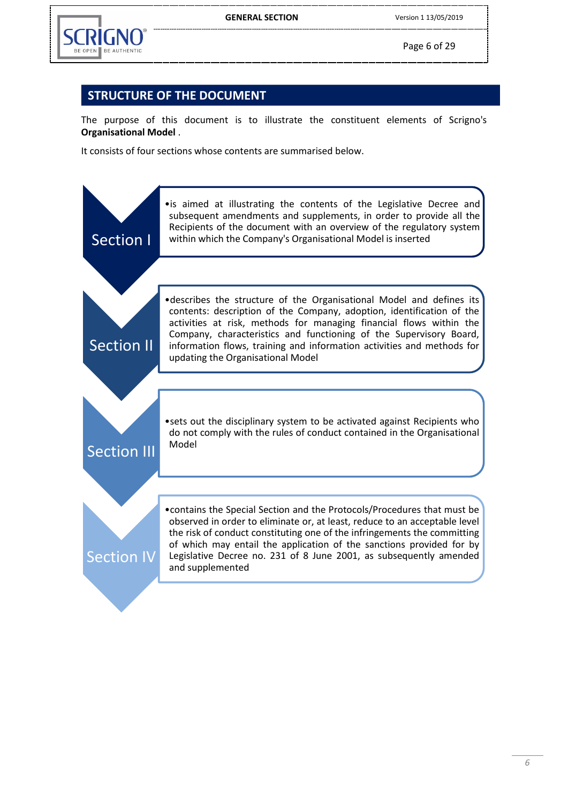

Page 6 of 29

# **STRUCTURE OF THE DOCUMENT**

The purpose of this document is to illustrate the constituent elements of Scrigno's **Organisational Model** .

It consists of four sections whose contents are summarised below.

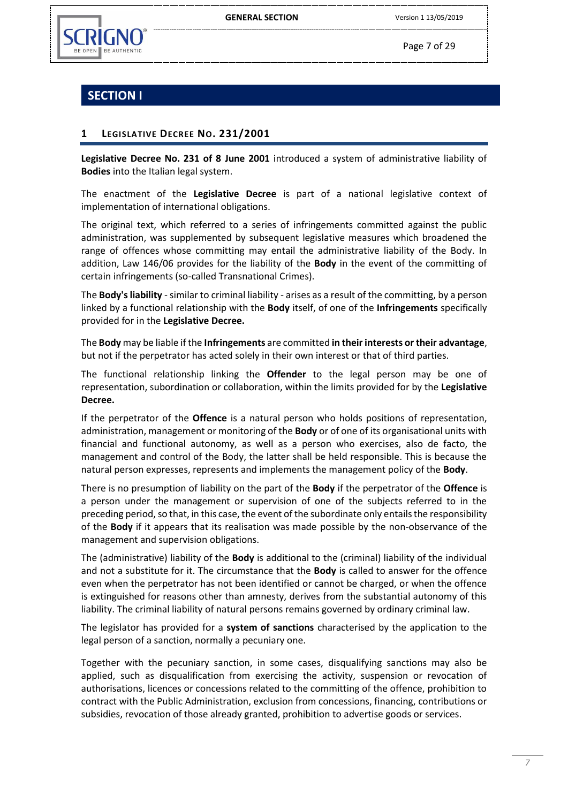



Page 7 of 29

# **SECTION I**

# <span id="page-6-0"></span>**1 LEGISLATIVE DECREE NO. 231/2001**

**Legislative Decree No. 231 of 8 June 2001** introduced a system of administrative liability of **Bodies** into the Italian legal system.

The enactment of the **Legislative Decree** is part of a national legislative context of implementation of international obligations.

The original text, which referred to a series of infringements committed against the public administration, was supplemented by subsequent legislative measures which broadened the range of offences whose committing may entail the administrative liability of the Body. In addition, Law 146/06 provides for the liability of the **Body** in the event of the committing of certain infringements (so-called Transnational Crimes).

The **Body's liability** -similar to criminal liability - arises as a result of the committing, by a person linked by a functional relationship with the **Body** itself, of one of the **Infringements** specifically provided for in the **Legislative Decree.**

The **Body** may be liable if the **Infringements** are committed **in their interests or their advantage**, but not if the perpetrator has acted solely in their own interest or that of third parties.

The functional relationship linking the **Offender** to the legal person may be one of representation, subordination or collaboration, within the limits provided for by the **Legislative Decree.**

If the perpetrator of the **Offence** is a natural person who holds positions of representation, administration, management or monitoring of the **Body** or of one of its organisational units with financial and functional autonomy, as well as a person who exercises, also de facto, the management and control of the Body, the latter shall be held responsible. This is because the natural person expresses, represents and implements the management policy of the **Body**.

There is no presumption of liability on the part of the **Body** if the perpetrator of the **Offence** is a person under the management or supervision of one of the subjects referred to in the preceding period, so that, in this case, the event of the subordinate only entails the responsibility of the **Body** if it appears that its realisation was made possible by the non-observance of the management and supervision obligations.

The (administrative) liability of the **Body** is additional to the (criminal) liability of the individual and not a substitute for it. The circumstance that the **Body** is called to answer for the offence even when the perpetrator has not been identified or cannot be charged, or when the offence is extinguished for reasons other than amnesty, derives from the substantial autonomy of this liability. The criminal liability of natural persons remains governed by ordinary criminal law.

The legislator has provided for a **system of sanctions** characterised by the application to the legal person of a sanction, normally a pecuniary one.

Together with the pecuniary sanction, in some cases, disqualifying sanctions may also be applied, such as disqualification from exercising the activity, suspension or revocation of authorisations, licences or concessions related to the committing of the offence, prohibition to contract with the Public Administration, exclusion from concessions, financing, contributions or subsidies, revocation of those already granted, prohibition to advertise goods or services.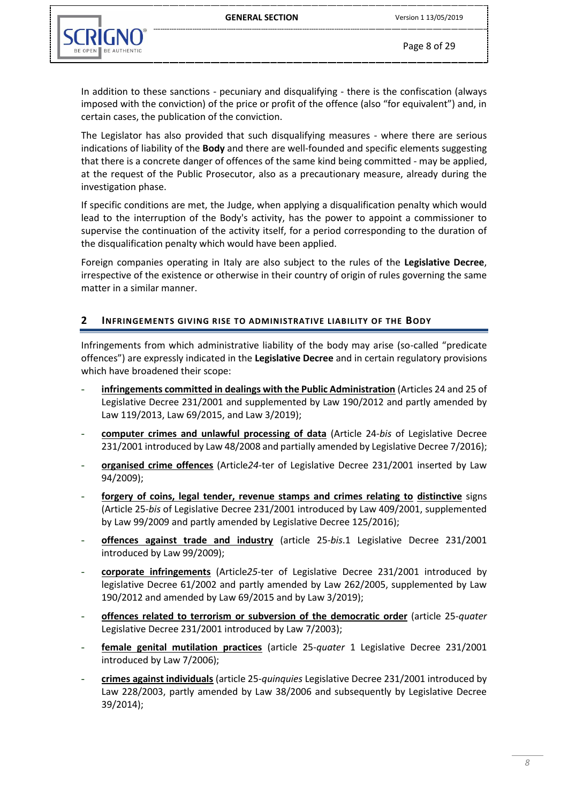

In addition to these sanctions - pecuniary and disqualifying - there is the confiscation (always imposed with the conviction) of the price or profit of the offence (also "for equivalent") and, in certain cases, the publication of the conviction.

The Legislator has also provided that such disqualifying measures - where there are serious indications of liability of the **Body** and there are well-founded and specific elements suggesting that there is a concrete danger of offences of the same kind being committed - may be applied, at the request of the Public Prosecutor, also as a precautionary measure, already during the investigation phase.

If specific conditions are met, the Judge, when applying a disqualification penalty which would lead to the interruption of the Body's activity, has the power to appoint a commissioner to supervise the continuation of the activity itself, for a period corresponding to the duration of the disqualification penalty which would have been applied.

Foreign companies operating in Italy are also subject to the rules of the **Legislative Decree**, irrespective of the existence or otherwise in their country of origin of rules governing the same matter in a similar manner.

#### <span id="page-7-0"></span>**2 INFRINGEMENTS GIVING RISE TO ADMINISTRATIVE LIABILITY OF THE BODY**

Infringements from which administrative liability of the body may arise (so-called "predicate offences") are expressly indicated in the **Legislative Decree** and in certain regulatory provisions which have broadened their scope:

- **infringements committed in dealings with the Public Administration** (Articles 24 and 25 of Legislative Decree 231/2001 and supplemented by Law 190/2012 and partly amended by Law 119/2013, Law 69/2015, and Law 3/2019);
- **computer crimes and unlawful processing of data** (Article 24-*bis* of Legislative Decree 231/2001 introduced by Law 48/2008 and partially amended by Legislative Decree 7/2016);
- **organised crime offences** (Article*24-*ter of Legislative Decree 231/2001 inserted by Law 94/2009);
- **forgery of coins, legal tender, revenue stamps and crimes relating to distinctive** signs (Article 25-*bis* of Legislative Decree 231/2001 introduced by Law 409/2001, supplemented by Law 99/2009 and partly amended by Legislative Decree 125/2016);
- offences against trade and industry (article 25-bis.1 Legislative Decree 231/2001 introduced by Law 99/2009);
- **corporate infringements** (Article*25-*ter of Legislative Decree 231/2001 introduced by legislative Decree 61/2002 and partly amended by Law 262/2005, supplemented by Law 190/2012 and amended by Law 69/2015 and by Law 3/2019);
- **offences related to terrorism or subversion of the democratic order** (article 25-*quater* Legislative Decree 231/2001 introduced by Law 7/2003);
- **female genital mutilation practices** (article 25-*quater* 1 Legislative Decree 231/2001 introduced by Law 7/2006);
- **crimes against individuals** (article 25-*quinquies* Legislative Decree 231/2001 introduced by Law 228/2003, partly amended by Law 38/2006 and subsequently by Legislative Decree 39/2014);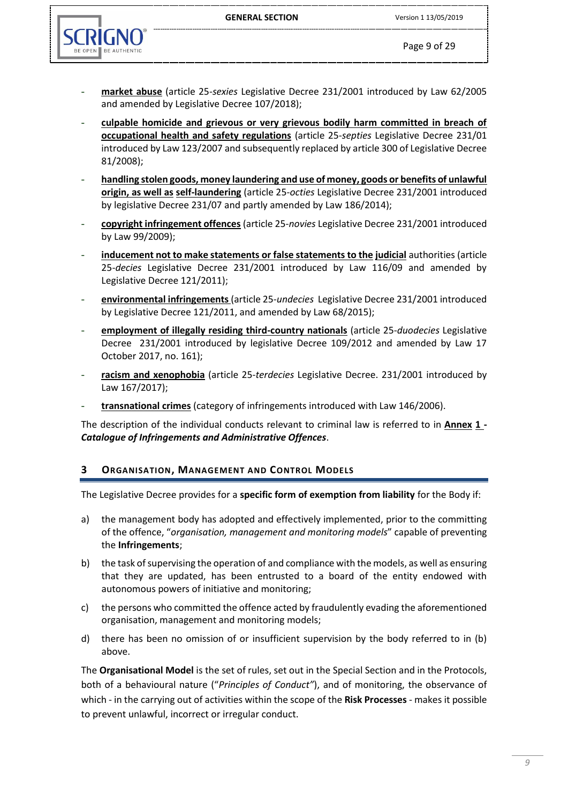GENERAL SECTION Version 1 13/05/2019



- **market abuse** (article 25-*sexies* Legislative Decree 231/2001 introduced by Law 62/2005 and amended by Legislative Decree 107/2018);
- **culpable homicide and grievous or very grievous bodily harm committed in breach of occupational health and safety regulations** (article 25-*septies* Legislative Decree 231/01 introduced by Law 123/2007 and subsequently replaced by article 300 of Legislative Decree 81/2008);
- **handling stolen goods, money laundering and use of money, goods or benefits of unlawful origin, as well as self-laundering** (article 25-*octies* Legislative Decree 231/2001 introduced by legislative Decree 231/07 and partly amended by Law 186/2014);
- **copyright infringement offences** (article 25-*novies* Legislative Decree 231/2001 introduced by Law 99/2009);
- **inducement not to make statements or false statements to the judicial** authorities (article 25-*decies* Legislative Decree 231/2001 introduced by Law 116/09 and amended by Legislative Decree 121/2011);
- **environmental infringements** (article 25-*undecies* Legislative Decree 231/2001 introduced by Legislative Decree 121/2011, and amended by Law 68/2015);
- **employment of illegally residing third-country nationals** (article 25-*duodecies* Legislative Decree 231/2001 introduced by legislative Decree 109/2012 and amended by Law 17 October 2017, no. 161);
- **racism and xenophobia** (article 25-*terdecies* Legislative Decree. 231/2001 introduced by Law 167/2017);
- **transnational crimes** (category of infringements introduced with Law 146/2006).

The description of the individual conducts relevant to criminal law is referred to in **Annex 1 -** *Catalogue of Infringements and Administrative Offences*.

# <span id="page-8-0"></span>**3 ORGANISATION, MANAGEMENT AND CONTROL MODELS**

The Legislative Decree provides for a **specific form of exemption from liability** for the Body if:

- a) the management body has adopted and effectively implemented, prior to the committing of the offence, "*organisation, management and monitoring models*" capable of preventing the **Infringements**;
- b) the task of supervising the operation of and compliance with the models, as well as ensuring that they are updated, has been entrusted to a board of the entity endowed with autonomous powers of initiative and monitoring;
- c) the persons who committed the offence acted by fraudulently evading the aforementioned organisation, management and monitoring models;
- d) there has been no omission of or insufficient supervision by the body referred to in (b) above.

The **Organisational Model** is the set of rules, set out in the Special Section and in the Protocols, both of a behavioural nature ("*Principles of Conduct"*), and of monitoring, the observance of which - in the carrying out of activities within the scope of the **Risk Processes** - makes it possible to prevent unlawful, incorrect or irregular conduct.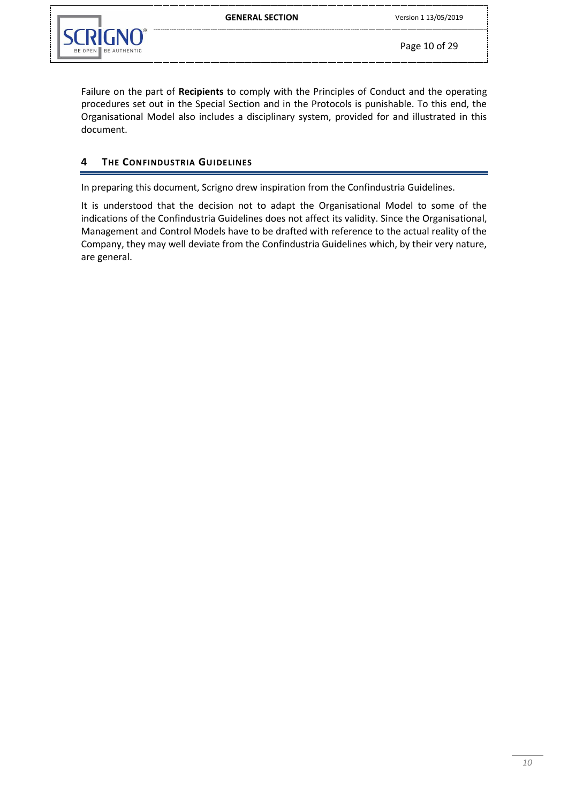Failure on the part of **Recipients** to comply with the Principles of Conduct and the operating procedures set out in the Special Section and in the Protocols is punishable. To this end, the Organisational Model also includes a disciplinary system, provided for and illustrated in this document.

# <span id="page-9-0"></span>**4 THE CONFINDUSTRIA GUIDELINES**

In preparing this document, Scrigno drew inspiration from the Confindustria Guidelines.

It is understood that the decision not to adapt the Organisational Model to some of the indications of the Confindustria Guidelines does not affect its validity. Since the Organisational, Management and Control Models have to be drafted with reference to the actual reality of the Company, they may well deviate from the Confindustria Guidelines which, by their very nature, are general.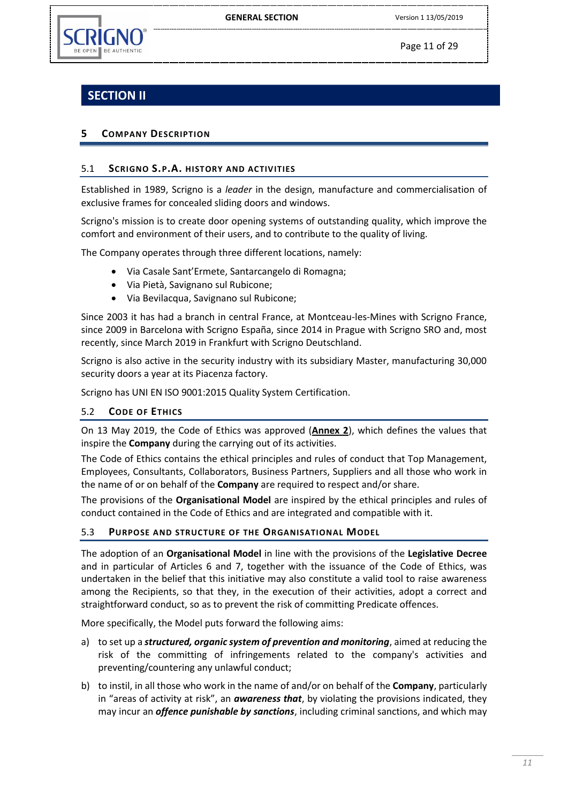

Page 11 of 29

# **SECTION II**

# <span id="page-10-0"></span>**5 COMPANY DESCRIPTION**

# <span id="page-10-1"></span>5.1 **SCRIGNO S.P.A. HISTORY AND ACTIVITIES**

Established in 1989, Scrigno is a *leader* in the design, manufacture and commercialisation of exclusive frames for concealed sliding doors and windows.

Scrigno's mission is to create door opening systems of outstanding quality, which improve the comfort and environment of their users, and to contribute to the quality of living.

The Company operates through three different locations, namely:

- Via Casale Sant'Ermete, Santarcangelo di Romagna;
- Via Pietà, Savignano sul Rubicone;
- Via Bevilacqua, Savignano sul Rubicone;

Since 2003 it has had a branch in central France, at Montceau-les-Mines with Scrigno France, since 2009 in Barcelona with Scrigno España, since 2014 in Prague with Scrigno SRO and, most recently, since March 2019 in Frankfurt with Scrigno Deutschland.

Scrigno is also active in the security industry with its subsidiary Master, manufacturing 30,000 security doors a year at its Piacenza factory.

Scrigno has UNI EN ISO 9001:2015 Quality System Certification.

# <span id="page-10-2"></span>5.2 **CODE OF ETHICS**

On 13 May 2019, the Code of Ethics was approved (**Annex 2**), which defines the values that inspire the **Company** during the carrying out of its activities.

The Code of Ethics contains the ethical principles and rules of conduct that Top Management, Employees, Consultants, Collaborators, Business Partners, Suppliers and all those who work in the name of or on behalf of the **Company** are required to respect and/or share.

The provisions of the **Organisational Model** are inspired by the ethical principles and rules of conduct contained in the Code of Ethics and are integrated and compatible with it.

#### <span id="page-10-3"></span>5.3 **PURPOSE AND STRUCTURE OF THE ORGANISATIONAL MODEL**

The adoption of an **Organisational Model** in line with the provisions of the **Legislative Decree** and in particular of Articles 6 and 7, together with the issuance of the Code of Ethics, was undertaken in the belief that this initiative may also constitute a valid tool to raise awareness among the Recipients, so that they, in the execution of their activities, adopt a correct and straightforward conduct, so as to prevent the risk of committing Predicate offences.

More specifically, the Model puts forward the following aims:

- a) to set up a *structured, organic system of prevention and monitoring*, aimed at reducing the risk of the committing of infringements related to the company's activities and preventing/countering any unlawful conduct;
- b) to instil, in all those who work in the name of and/or on behalf of the **Company**, particularly in "areas of activity at risk", an *awareness that*, by violating the provisions indicated, they may incur an *offence punishable by sanctions*, including criminal sanctions, and which may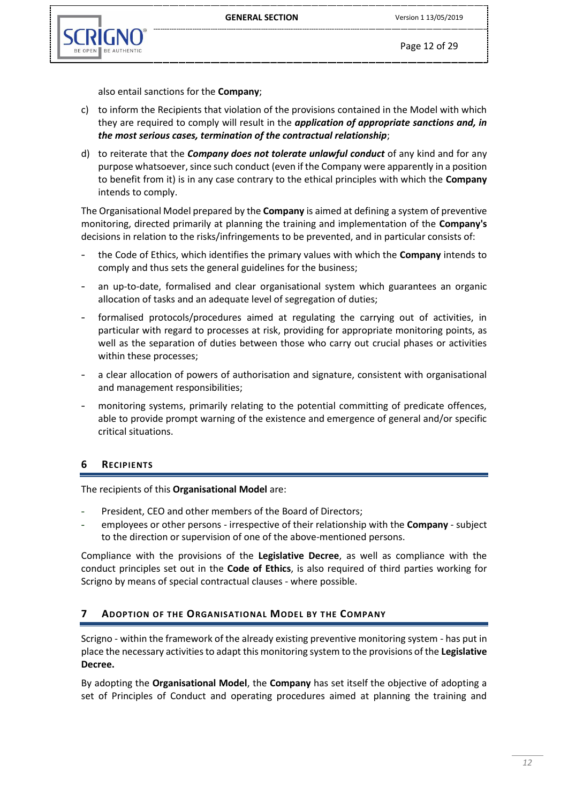

also entail sanctions for the **Company**;

- c) to inform the Recipients that violation of the provisions contained in the Model with which they are required to comply will result in the *application of appropriate sanctions and, in the most serious cases, termination of the contractual relationship*;
- d) to reiterate that the *Company does not tolerate unlawful conduct* of any kind and for any purpose whatsoever, since such conduct (even if the Company were apparently in a position to benefit from it) is in any case contrary to the ethical principles with which the **Company**  intends to comply.

The Organisational Model prepared by the **Company** is aimed at defining a system of preventive monitoring, directed primarily at planning the training and implementation of the **Company's** decisions in relation to the risks/infringements to be prevented, and in particular consists of:

- the Code of Ethics, which identifies the primary values with which the **Company** intends to comply and thus sets the general guidelines for the business;
- an up-to-date, formalised and clear organisational system which guarantees an organic allocation of tasks and an adequate level of segregation of duties;
- formalised protocols/procedures aimed at regulating the carrying out of activities, in particular with regard to processes at risk, providing for appropriate monitoring points, as well as the separation of duties between those who carry out crucial phases or activities within these processes;
- a clear allocation of powers of authorisation and signature, consistent with organisational and management responsibilities;
- monitoring systems, primarily relating to the potential committing of predicate offences, able to provide prompt warning of the existence and emergence of general and/or specific critical situations.

# <span id="page-11-0"></span>**6 RECIPIENTS**

The recipients of this **Organisational Model** are:

- President, CEO and other members of the Board of Directors;
- employees or other persons irrespective of their relationship with the **Company**  subject to the direction or supervision of one of the above-mentioned persons.

Compliance with the provisions of the **Legislative Decree**, as well as compliance with the conduct principles set out in the **Code of Ethics**, is also required of third parties working for Scrigno by means of special contractual clauses - where possible.

# <span id="page-11-1"></span>**7 ADOPTION OF THE ORGANISATIONAL MODEL BY THE COMPANY**

Scrigno - within the framework of the already existing preventive monitoring system - has put in place the necessary activities to adapt this monitoring system to the provisions of the **Legislative Decree.**

By adopting the **Organisational Model**, the **Company** has set itself the objective of adopting a set of Principles of Conduct and operating procedures aimed at planning the training and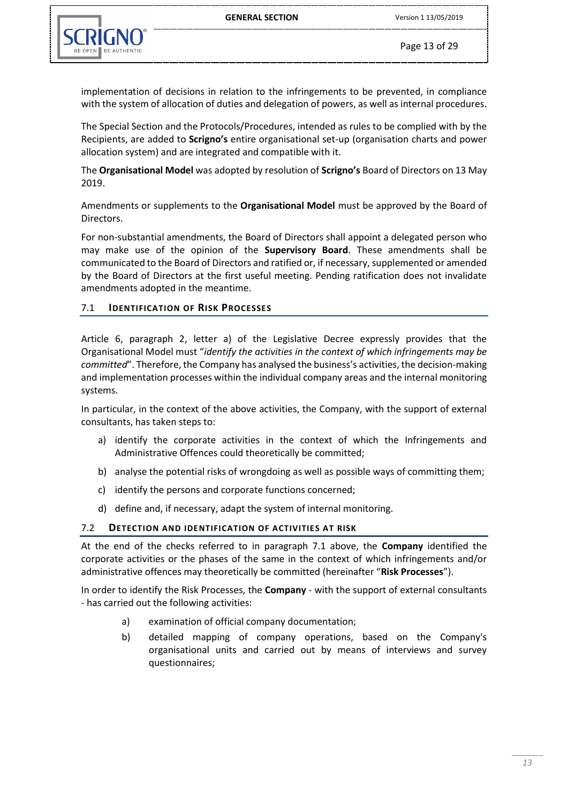

implementation of decisions in relation to the infringements to be prevented, in compliance with the system of allocation of duties and delegation of powers, as well as internal procedures.

The Special Section and the Protocols/Procedures, intended as rules to be complied with by the Recipients, are added to **Scrigno's** entire organisational set-up (organisation charts and power allocation system) and are integrated and compatible with it.

The **Organisational Model** was adopted by resolution of **Scrigno's** Board of Directors on 13 May 2019.

Amendments or supplements to the **Organisational Model** must be approved by the Board of Directors.

For non-substantial amendments, the Board of Directors shall appoint a delegated person who may make use of the opinion of the **Supervisory Board**. These amendments shall be communicated to the Board of Directors and ratified or, if necessary, supplemented or amended by the Board of Directors at the first useful meeting. Pending ratification does not invalidate amendments adopted in the meantime.

#### <span id="page-12-0"></span>7.1 **IDENTIFICATION OF RISK PROCESSES**

Article 6, paragraph 2, letter a) of the Legislative Decree expressly provides that the Organisational Model must "*identify the activities in the context of which infringements may be committed*". Therefore, the Company has analysed the business's activities, the decision-making and implementation processes within the individual company areas and the internal monitoring systems.

In particular, in the context of the above activities, the Company, with the support of external consultants, has taken steps to:

- a) identify the corporate activities in the context of which the Infringements and Administrative Offences could theoretically be committed;
- b) analyse the potential risks of wrongdoing as well as possible ways of committing them;
- c) identify the persons and corporate functions concerned;
- d) define and, if necessary, adapt the system of internal monitoring.

#### <span id="page-12-1"></span>7.2 **DETECTION AND IDENTIFICATION OF ACTIVITIES AT RISK**

At the end of the checks referred to in paragraph 7.1 above, the **Company** identified the corporate activities or the phases of the same in the context of which infringements and/or administrative offences may theoretically be committed (hereinafter "**Risk Processes**").

In order to identify the Risk Processes, the **Company** - with the support of external consultants - has carried out the following activities:

- a) examination of official company documentation;
- b) detailed mapping of company operations, based on the Company's organisational units and carried out by means of interviews and survey questionnaires;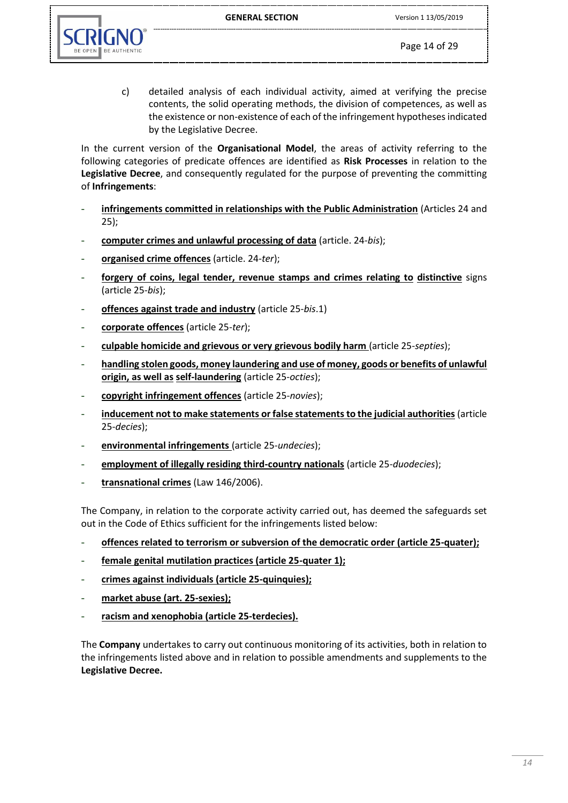

c) detailed analysis of each individual activity, aimed at verifying the precise contents, the solid operating methods, the division of competences, as well as the existence or non-existence of each of the infringement hypotheses indicated by the Legislative Decree.

In the current version of the **Organisational Model**, the areas of activity referring to the following categories of predicate offences are identified as **Risk Processes** in relation to the **Legislative Decree**, and consequently regulated for the purpose of preventing the committing of **Infringements**:

- **infringements committed in relationships with the Public Administration** (Articles 24 and 25);
- **computer crimes and unlawful processing of data** (article. 24-*bis*);
- **organised crime offences** (article. 24-*ter*);
- **forgery of coins, legal tender, revenue stamps and crimes relating to distinctive** signs (article 25-*bis*);
- **offences against trade and industry** (article 25-*bis*.1)
- **corporate offences** (article 25-*ter*);
- **culpable homicide and grievous or very grievous bodily harm** (article 25-*septies*);
- handling stolen goods, money laundering and use of money, goods or benefits of unlawful **origin, as well as self-laundering** (article 25-*octies*);
- **copyright infringement offences** (article 25-*novies*);
- **inducement not to make statements or false statements to the judicial authorities** (article 25-*decies*);
- **environmental infringements** (article 25-*undecies*);
- **employment of illegally residing third-country nationals** (article 25-*duodecies*);
- transnational crimes (Law 146/2006).

The Company, in relation to the corporate activity carried out, has deemed the safeguards set out in the Code of Ethics sufficient for the infringements listed below:

- offences related to terrorism or subversion of the democratic order (article 25-quater);
- **female genital mutilation practices (article 25-quater 1);**
- **crimes against individuals (article 25-quinquies);**
- **market abuse (art. 25-sexies);**
- racism and xenophobia (article 25-terdecies).

The **Company** undertakes to carry out continuous monitoring of its activities, both in relation to the infringements listed above and in relation to possible amendments and supplements to the **Legislative Decree.**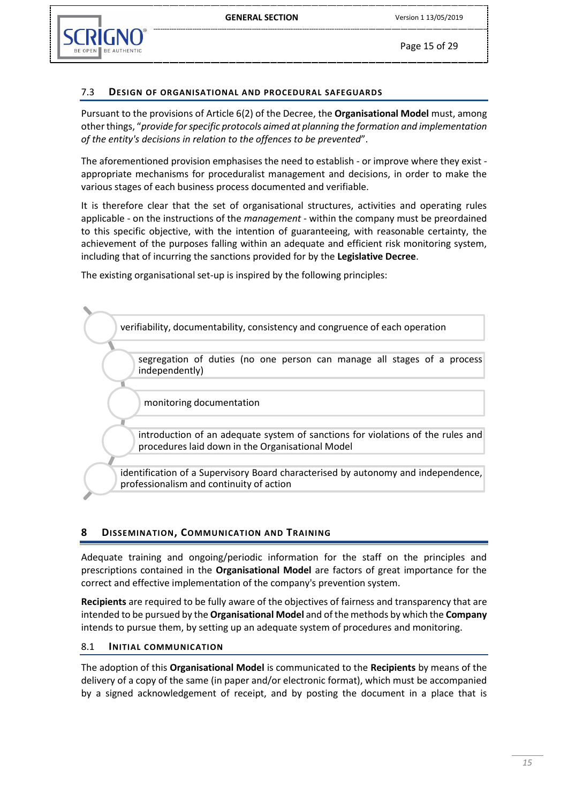

Page 15 of 29

## <span id="page-14-0"></span>7.3 **DESIGN OF ORGANISATIONAL AND PROCEDURAL SAFEGUARDS**

Pursuant to the provisions of Article 6(2) of the Decree, the **Organisational Model** must, among other things, "*provide for specific protocols aimed at planning the formation and implementation of the entity's decisions in relation to the offences to be prevented*".

The aforementioned provision emphasises the need to establish - or improve where they exist appropriate mechanisms for proceduralist management and decisions, in order to make the various stages of each business process documented and verifiable.

It is therefore clear that the set of organisational structures, activities and operating rules applicable - on the instructions of the *management* - within the company must be preordained to this specific objective, with the intention of guaranteeing, with reasonable certainty, the achievement of the purposes falling within an adequate and efficient risk monitoring system, including that of incurring the sanctions provided for by the **Legislative Decree**.

The existing organisational set-up is inspired by the following principles:



# <span id="page-14-1"></span>**8 DISSEMINATION, COMMUNICATION AND TRAINING**

Adequate training and ongoing/periodic information for the staff on the principles and prescriptions contained in the **Organisational Model** are factors of great importance for the correct and effective implementation of the company's prevention system.

**Recipients** are required to be fully aware of the objectives of fairness and transparency that are intended to be pursued by the **Organisational Model** and of the methods by which the **Company** intends to pursue them, by setting up an adequate system of procedures and monitoring.

#### <span id="page-14-2"></span>8.1 **INITIAL COMMUNICATION**

The adoption of this **Organisational Model** is communicated to the **Recipients** by means of the delivery of a copy of the same (in paper and/or electronic format), which must be accompanied by a signed acknowledgement of receipt, and by posting the document in a place that is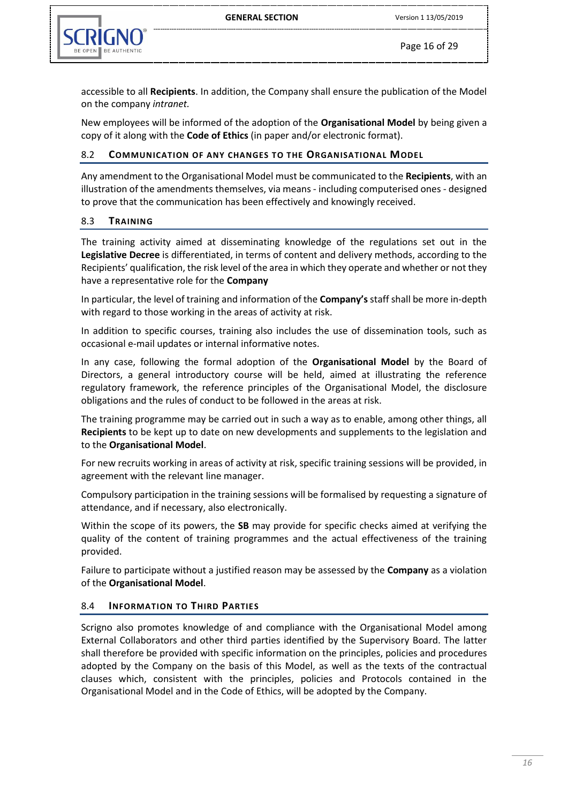

Page 16 of 29

accessible to all **Recipients**. In addition, the Company shall ensure the publication of the Model on the company *intranet.*

New employees will be informed of the adoption of the **Organisational Model** by being given a copy of it along with the **Code of Ethics** (in paper and/or electronic format).

#### <span id="page-15-0"></span>8.2 **COMMUNICATION OF ANY CHANGES TO THE ORGANISATIONAL MODEL**

Any amendment to the Organisational Model must be communicated to the **Recipients**, with an illustration of the amendments themselves, via means - including computerised ones - designed to prove that the communication has been effectively and knowingly received.

#### <span id="page-15-1"></span>8.3 **TRAINING**

The training activity aimed at disseminating knowledge of the regulations set out in the **Legislative Decree** is differentiated, in terms of content and delivery methods, according to the Recipients' qualification, the risk level of the area in which they operate and whether or not they have a representative role for the **Company**

In particular, the level of training and information of the **Company's** staff shall be more in-depth with regard to those working in the areas of activity at risk.

In addition to specific courses, training also includes the use of dissemination tools, such as occasional e-mail updates or internal informative notes.

In any case, following the formal adoption of the **Organisational Model** by the Board of Directors, a general introductory course will be held, aimed at illustrating the reference regulatory framework, the reference principles of the Organisational Model, the disclosure obligations and the rules of conduct to be followed in the areas at risk.

The training programme may be carried out in such a way as to enable, among other things, all **Recipients** to be kept up to date on new developments and supplements to the legislation and to the **Organisational Model**.

For new recruits working in areas of activity at risk, specific training sessions will be provided, in agreement with the relevant line manager.

Compulsory participation in the training sessions will be formalised by requesting a signature of attendance, and if necessary, also electronically.

Within the scope of its powers, the **SB** may provide for specific checks aimed at verifying the quality of the content of training programmes and the actual effectiveness of the training provided.

Failure to participate without a justified reason may be assessed by the **Company** as a violation of the **Organisational Model**.

#### <span id="page-15-2"></span>8.4 **INFORMATION TO THIRD PARTIES**

Scrigno also promotes knowledge of and compliance with the Organisational Model among External Collaborators and other third parties identified by the Supervisory Board. The latter shall therefore be provided with specific information on the principles, policies and procedures adopted by the Company on the basis of this Model, as well as the texts of the contractual clauses which, consistent with the principles, policies and Protocols contained in the Organisational Model and in the Code of Ethics, will be adopted by the Company.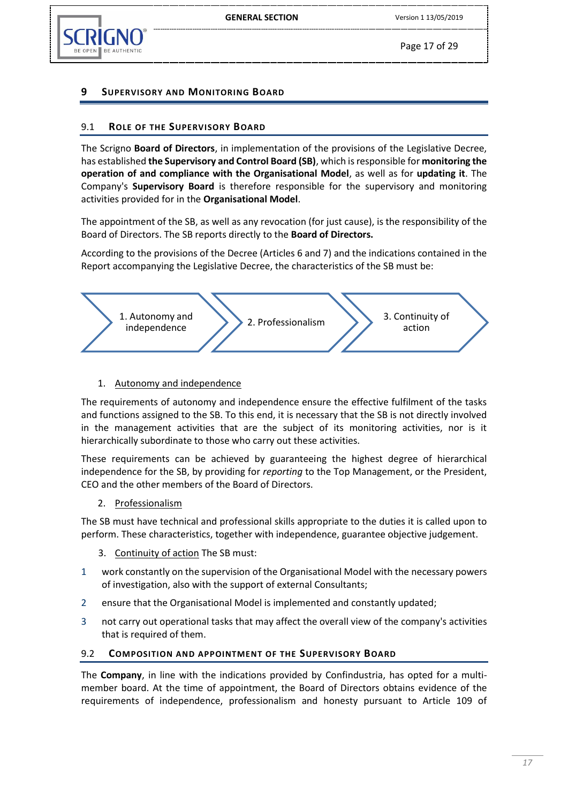Page 17 of 29

# <span id="page-16-0"></span>**9 SUPERVISORY AND MONITORING BOARD**

# <span id="page-16-1"></span>9.1 **ROLE OF THE SUPERVISORY BOARD**

The Scrigno **Board of Directors**, in implementation of the provisions of the Legislative Decree, has established **the Supervisory and Control Board (SB)**, which is responsible for **monitoring the operation of and compliance with the Organisational Model**, as well as for **updating it**. The Company's **Supervisory Board** is therefore responsible for the supervisory and monitoring activities provided for in the **Organisational Model**.

The appointment of the SB, as well as any revocation (for just cause), is the responsibility of the Board of Directors. The SB reports directly to the **Board of Directors.**

According to the provisions of the Decree (Articles 6 and 7) and the indications contained in the Report accompanying the Legislative Decree, the characteristics of the SB must be:



#### 1. Autonomy and independence

The requirements of autonomy and independence ensure the effective fulfilment of the tasks and functions assigned to the SB. To this end, it is necessary that the SB is not directly involved in the management activities that are the subject of its monitoring activities, nor is it hierarchically subordinate to those who carry out these activities.

These requirements can be achieved by guaranteeing the highest degree of hierarchical independence for the SB, by providing for *reporting* to the Top Management, or the President, CEO and the other members of the Board of Directors.

2. Professionalism

The SB must have technical and professional skills appropriate to the duties it is called upon to perform. These characteristics, together with independence, guarantee objective judgement.

- 3. Continuity of action The SB must:
- 1 work constantly on the supervision of the Organisational Model with the necessary powers of investigation, also with the support of external Consultants;
- 2 ensure that the Organisational Model is implemented and constantly updated;
- 3 not carry out operational tasks that may affect the overall view of the company's activities that is required of them.

#### <span id="page-16-2"></span>9.2 **COMPOSITION AND APPOINTMENT OF THE SUPERVISORY BOARD**

The **Company**, in line with the indications provided by Confindustria, has opted for a multimember board. At the time of appointment, the Board of Directors obtains evidence of the requirements of independence, professionalism and honesty pursuant to Article 109 of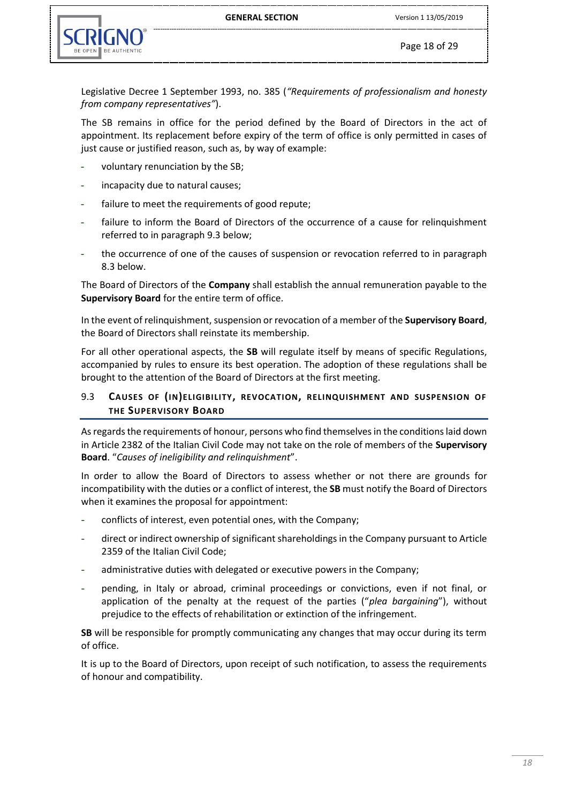

Legislative Decree 1 September 1993, no. 385 (*"Requirements of professionalism and honesty from company representatives"*).

The SB remains in office for the period defined by the Board of Directors in the act of appointment. Its replacement before expiry of the term of office is only permitted in cases of just cause or justified reason, such as, by way of example:

- voluntary renunciation by the SB;
- incapacity due to natural causes;
- failure to meet the requirements of good repute;
- failure to inform the Board of Directors of the occurrence of a cause for relinquishment referred to in paragraph 9.3 below;
- the occurrence of one of the causes of suspension or revocation referred to in paragraph 8.3 below.

The Board of Directors of the **Company** shall establish the annual remuneration payable to the **Supervisory Board** for the entire term of office.

In the event of relinquishment, suspension or revocation of a member of the **Supervisory Board**, the Board of Directors shall reinstate its membership.

For all other operational aspects, the **SB** will regulate itself by means of specific Regulations, accompanied by rules to ensure its best operation. The adoption of these regulations shall be brought to the attention of the Board of Directors at the first meeting.

#### <span id="page-17-0"></span>9.3 **CAUSES OF (IN)ELIGIBILITY, REVOCATION, RELINQUISHMENT AND SUSPENSION OF THE SUPERVISORY BOARD**

As regards the requirements of honour, persons who find themselves in the conditions laid down in Article 2382 of the Italian Civil Code may not take on the role of members of the **Supervisory Board**. "*Causes of ineligibility and relinquishment*".

In order to allow the Board of Directors to assess whether or not there are grounds for incompatibility with the duties or a conflict of interest, the **SB** must notify the Board of Directors when it examines the proposal for appointment:

- conflicts of interest, even potential ones, with the Company;
- direct or indirect ownership of significant shareholdings in the Company pursuant to Article 2359 of the Italian Civil Code;
- administrative duties with delegated or executive powers in the Company;
- pending, in Italy or abroad, criminal proceedings or convictions, even if not final, or application of the penalty at the request of the parties ("*plea bargaining*"), without prejudice to the effects of rehabilitation or extinction of the infringement.

**SB** will be responsible for promptly communicating any changes that may occur during its term of office.

It is up to the Board of Directors, upon receipt of such notification, to assess the requirements of honour and compatibility.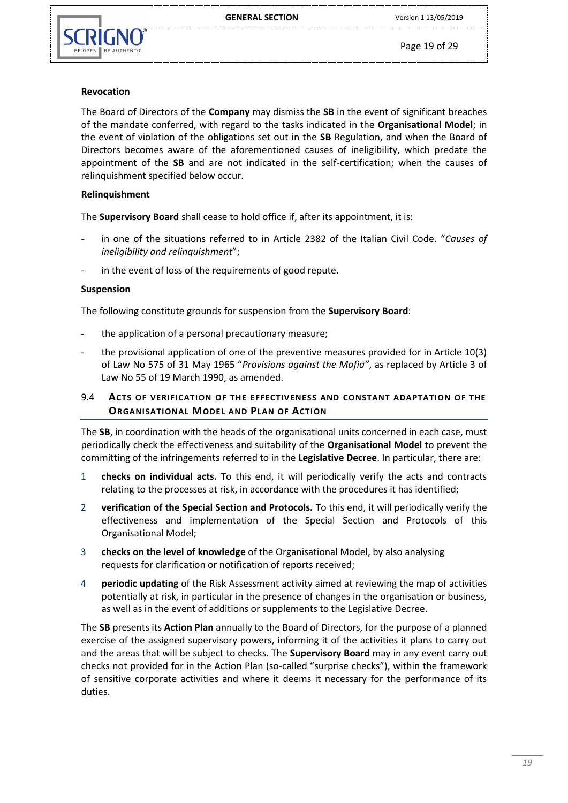

Page 19 of 29

#### **Revocation**

The Board of Directors of the **Company** may dismiss the **SB** in the event of significant breaches of the mandate conferred, with regard to the tasks indicated in the **Organisational Model**; in the event of violation of the obligations set out in the **SB** Regulation, and when the Board of Directors becomes aware of the aforementioned causes of ineligibility, which predate the appointment of the **SB** and are not indicated in the self-certification; when the causes of relinquishment specified below occur.

#### **Relinquishment**

The **Supervisory Board** shall cease to hold office if, after its appointment, it is:

- in one of the situations referred to in Article 2382 of the Italian Civil Code. "*Causes of ineligibility and relinquishment*";
- in the event of loss of the requirements of good repute.

#### **Suspension**

The following constitute grounds for suspension from the **Supervisory Board**:

- the application of a personal precautionary measure;
- the provisional application of one of the preventive measures provided for in Article 10(3) of Law No 575 of 31 May 1965 "*Provisions against the Mafia"*, as replaced by Article 3 of Law No 55 of 19 March 1990, as amended.

# <span id="page-18-0"></span>9.4 **ACTS OF VERIFICATION OF THE EFFECTIVENESS AND CONSTANT ADAPTATION OF THE ORGANISATIONAL MODEL AND PLAN OF ACTION**

The **SB**, in coordination with the heads of the organisational units concerned in each case, must periodically check the effectiveness and suitability of the **Organisational Model** to prevent the committing of the infringements referred to in the **Legislative Decree**. In particular, there are:

- 1 **checks on individual acts.** To this end, it will periodically verify the acts and contracts relating to the processes at risk, in accordance with the procedures it has identified;
- 2 **verification of the Special Section and Protocols.** To this end, it will periodically verify the effectiveness and implementation of the Special Section and Protocols of this Organisational Model;
- 3 **checks on the level of knowledge** of the Organisational Model, by also analysing requests for clarification or notification of reports received;
- 4 **periodic updating** of the Risk Assessment activity aimed at reviewing the map of activities potentially at risk, in particular in the presence of changes in the organisation or business, as well as in the event of additions or supplements to the Legislative Decree.

The **SB** presents its **Action Plan** annually to the Board of Directors, for the purpose of a planned exercise of the assigned supervisory powers, informing it of the activities it plans to carry out and the areas that will be subject to checks. The **Supervisory Board** may in any event carry out checks not provided for in the Action Plan (so-called "surprise checks"), within the framework of sensitive corporate activities and where it deems it necessary for the performance of its duties.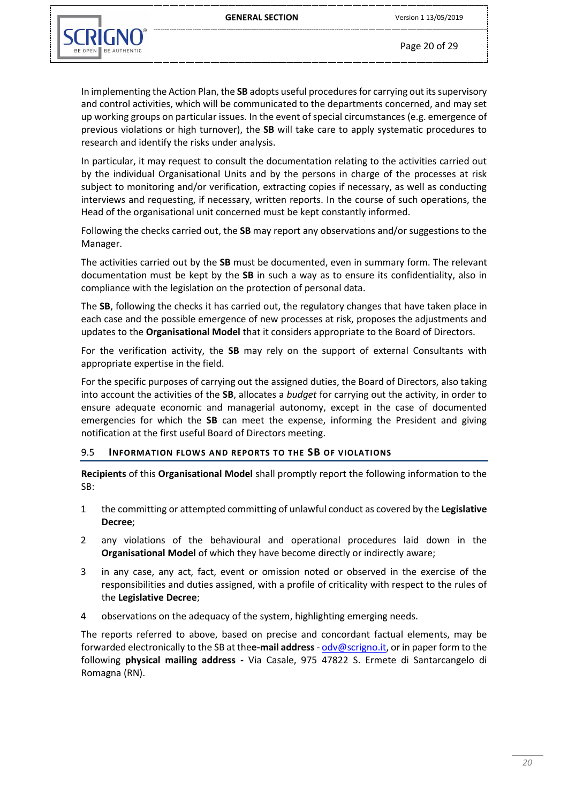

Page 20 of 29

In implementing the Action Plan, the **SB** adopts useful procedures for carrying out its supervisory and control activities, which will be communicated to the departments concerned, and may set up working groups on particular issues. In the event of special circumstances (e.g. emergence of previous violations or high turnover), the **SB** will take care to apply systematic procedures to research and identify the risks under analysis.

In particular, it may request to consult the documentation relating to the activities carried out by the individual Organisational Units and by the persons in charge of the processes at risk subject to monitoring and/or verification, extracting copies if necessary, as well as conducting interviews and requesting, if necessary, written reports. In the course of such operations, the Head of the organisational unit concerned must be kept constantly informed.

Following the checks carried out, the **SB** may report any observations and/or suggestions to the Manager.

The activities carried out by the **SB** must be documented, even in summary form. The relevant documentation must be kept by the **SB** in such a way as to ensure its confidentiality, also in compliance with the legislation on the protection of personal data.

The **SB**, following the checks it has carried out, the regulatory changes that have taken place in each case and the possible emergence of new processes at risk, proposes the adjustments and updates to the **Organisational Model** that it considers appropriate to the Board of Directors.

For the verification activity, the **SB** may rely on the support of external Consultants with appropriate expertise in the field.

For the specific purposes of carrying out the assigned duties, the Board of Directors, also taking into account the activities of the **SB**, allocates a *budget* for carrying out the activity, in order to ensure adequate economic and managerial autonomy, except in the case of documented emergencies for which the **SB** can meet the expense, informing the President and giving notification at the first useful Board of Directors meeting.

#### <span id="page-19-0"></span>9.5 **INFORMATION FLOWS AND REPORTS TO THE SB OF VIOLATIONS**

**Recipients** of this **Organisational Model** shall promptly report the following information to the SB:

- 1 the committing or attempted committing of unlawful conduct as covered by the **Legislative Decree**;
- 2 any violations of the behavioural and operational procedures laid down in the **Organisational Model** of which they have become directly or indirectly aware;
- 3 in any case, any act, fact, event or omission noted or observed in the exercise of the responsibilities and duties assigned, with a profile of criticality with respect to the rules of the **Legislative Decree**;
- 4 observations on the adequacy of the system, highlighting emerging needs.

The reports referred to above, based on precise and concordant factual elements, may be forwarded electronically to the SB at the**e-mail address** - [odv@scrigno.it,](mailto:odv@scrigno.it) or in paper form to the following **physical mailing address -** Via Casale, 975 47822 S. Ermete di Santarcangelo di Romagna (RN).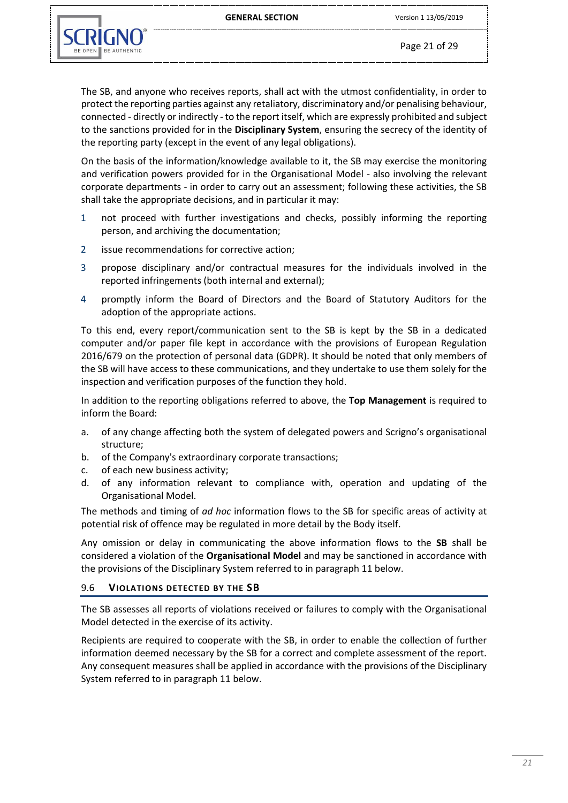

Page 21 of 29

The SB, and anyone who receives reports, shall act with the utmost confidentiality, in order to protect the reporting parties against any retaliatory, discriminatory and/or penalising behaviour, connected - directly or indirectly - to the report itself, which are expressly prohibited and subject to the sanctions provided for in the **Disciplinary System**, ensuring the secrecy of the identity of the reporting party (except in the event of any legal obligations).

On the basis of the information/knowledge available to it, the SB may exercise the monitoring and verification powers provided for in the Organisational Model - also involving the relevant corporate departments - in order to carry out an assessment; following these activities, the SB shall take the appropriate decisions, and in particular it may:

- 1 not proceed with further investigations and checks, possibly informing the reporting person, and archiving the documentation;
- 2 issue recommendations for corrective action;
- 3 propose disciplinary and/or contractual measures for the individuals involved in the reported infringements (both internal and external);
- 4 promptly inform the Board of Directors and the Board of Statutory Auditors for the adoption of the appropriate actions.

To this end, every report/communication sent to the SB is kept by the SB in a dedicated computer and/or paper file kept in accordance with the provisions of European Regulation 2016/679 on the protection of personal data (GDPR). It should be noted that only members of the SB will have access to these communications, and they undertake to use them solely for the inspection and verification purposes of the function they hold.

In addition to the reporting obligations referred to above, the **Top Management** is required to inform the Board:

- a. of any change affecting both the system of delegated powers and Scrigno's organisational structure;
- b. of the Company's extraordinary corporate transactions;
- c. of each new business activity;
- d. of any information relevant to compliance with, operation and updating of the Organisational Model.

The methods and timing of *ad hoc* information flows to the SB for specific areas of activity at potential risk of offence may be regulated in more detail by the Body itself.

Any omission or delay in communicating the above information flows to the **SB** shall be considered a violation of the **Organisational Model** and may be sanctioned in accordance with the provisions of the Disciplinary System referred to in paragraph 11 below.

#### <span id="page-20-0"></span>9.6 **VIOLATIONS DETECTED BY THE SB**

The SB assesses all reports of violations received or failures to comply with the Organisational Model detected in the exercise of its activity.

Recipients are required to cooperate with the SB, in order to enable the collection of further information deemed necessary by the SB for a correct and complete assessment of the report. Any consequent measures shall be applied in accordance with the provisions of the Disciplinary System referred to in paragraph 11 below.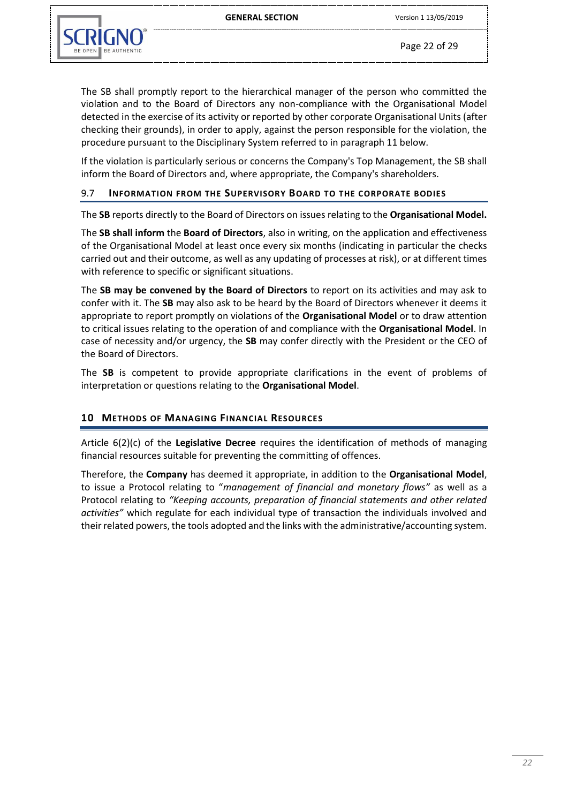

Page 22 of 29

The SB shall promptly report to the hierarchical manager of the person who committed the violation and to the Board of Directors any non-compliance with the Organisational Model detected in the exercise of its activity or reported by other corporate Organisational Units (after checking their grounds), in order to apply, against the person responsible for the violation, the procedure pursuant to the Disciplinary System referred to in paragraph 11 below.

If the violation is particularly serious or concerns the Company's Top Management, the SB shall inform the Board of Directors and, where appropriate, the Company's shareholders.

#### <span id="page-21-0"></span>9.7 **INFORMATION FROM THE SUPERVISORY BOARD TO THE CORPORATE BODIES**

The **SB** reports directly to the Board of Directors on issues relating to the **Organisational Model.**

The **SB shall inform** the **Board of Directors**, also in writing, on the application and effectiveness of the Organisational Model at least once every six months (indicating in particular the checks carried out and their outcome, as well as any updating of processes at risk), or at different times with reference to specific or significant situations.

The **SB may be convened by the Board of Directors** to report on its activities and may ask to confer with it. The **SB** may also ask to be heard by the Board of Directors whenever it deems it appropriate to report promptly on violations of the **Organisational Model** or to draw attention to critical issues relating to the operation of and compliance with the **Organisational Model**. In case of necessity and/or urgency, the **SB** may confer directly with the President or the CEO of the Board of Directors.

The **SB** is competent to provide appropriate clarifications in the event of problems of interpretation or questions relating to the **Organisational Model**.

#### <span id="page-21-1"></span>**10 METHODS OF MANAGING FINANCIAL RESOURCES**

Article 6(2)(c) of the **Legislative Decree** requires the identification of methods of managing financial resources suitable for preventing the committing of offences.

Therefore, the **Company** has deemed it appropriate, in addition to the **Organisational Model**, to issue a Protocol relating to "*management of financial and monetary flows"* as well as a Protocol relating to *"Keeping accounts, preparation of financial statements and other related activities"* which regulate for each individual type of transaction the individuals involved and their related powers, the tools adopted and the links with the administrative/accounting system.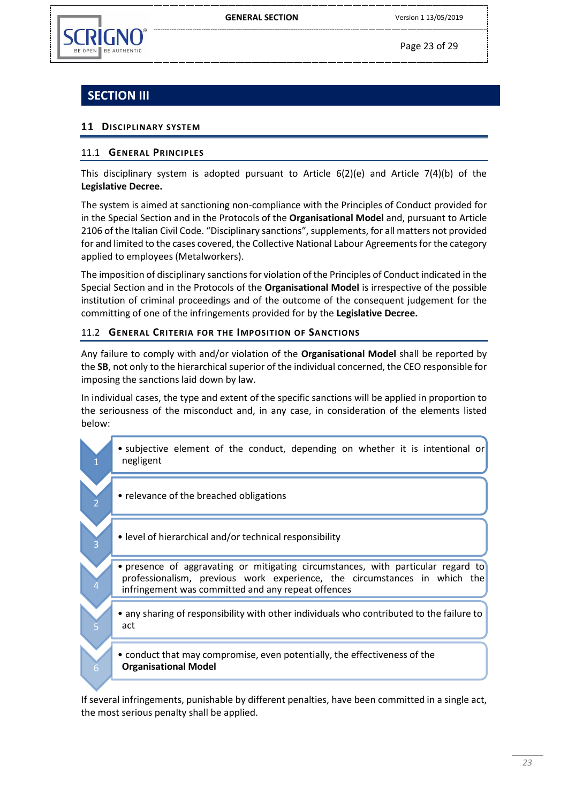

2

3

4

5

6

Page 23 of 29

# **SECTION III**

## <span id="page-22-0"></span>**11 DISCIPLINARY SYSTEM**

#### <span id="page-22-1"></span>11.1 **GENERAL PRINCIPLES**

This disciplinary system is adopted pursuant to Article  $6(2)(e)$  and Article  $7(4)(b)$  of the **Legislative Decree.**

The system is aimed at sanctioning non-compliance with the Principles of Conduct provided for in the Special Section and in the Protocols of the **Organisational Model** and, pursuant to Article 2106 of the Italian Civil Code. "Disciplinary sanctions", supplements, for all matters not provided for and limited to the cases covered, the Collective National Labour Agreements for the category applied to employees (Metalworkers).

The imposition of disciplinary sanctions for violation of the Principles of Conduct indicated in the Special Section and in the Protocols of the **Organisational Model** is irrespective of the possible institution of criminal proceedings and of the outcome of the consequent judgement for the committing of one of the infringements provided for by the **Legislative Decree.**

#### <span id="page-22-2"></span>11.2 **GENERAL CRITERIA FOR THE IMPOSITION OF SANCTIONS**

Any failure to comply with and/or violation of the **Organisational Model** shall be reported by the **SB**, not only to the hierarchical superior of the individual concerned, the CEO responsible for imposing the sanctions laid down by law.

In individual cases, the type and extent of the specific sanctions will be applied in proportion to the seriousness of the misconduct and, in any case, in consideration of the elements listed below:

- subjective element of the conduct, depending on whether it is intentional or negligent
	- relevance of the breached obligations
	- level of hierarchical and/or technical responsibility
	- presence of aggravating or mitigating circumstances, with particular regard to professionalism, previous work experience, the circumstances in which the infringement was committed and any repeat offences
	- any sharing of responsibility with other individuals who contributed to the failure to act
	- conduct that may compromise, even potentially, the effectiveness of the **Organisational Model**

If several infringements, punishable by different penalties, have been committed in a single act, the most serious penalty shall be applied.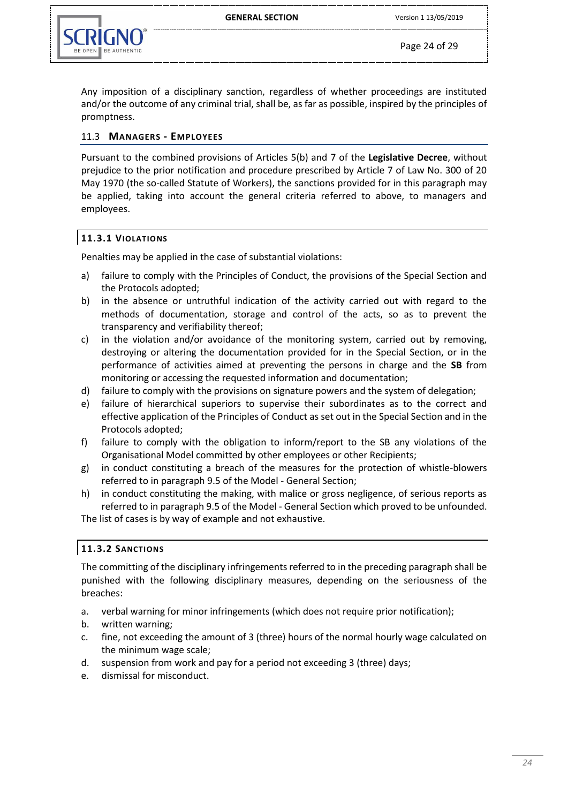

Any imposition of a disciplinary sanction, regardless of whether proceedings are instituted and/or the outcome of any criminal trial, shall be, as far as possible, inspired by the principles of promptness.

#### <span id="page-23-0"></span>11.3 **MANAGERS - EMPLOYEES**

Pursuant to the combined provisions of Articles 5(b) and 7 of the **Legislative Decree**, without prejudice to the prior notification and procedure prescribed by Article 7 of Law No. 300 of 20 May 1970 (the so-called Statute of Workers), the sanctions provided for in this paragraph may be applied, taking into account the general criteria referred to above, to managers and employees.

#### <span id="page-23-1"></span>**11.3.1 VIOLATIONS**

Penalties may be applied in the case of substantial violations:

- a) failure to comply with the Principles of Conduct, the provisions of the Special Section and the Protocols adopted;
- b) in the absence or untruthful indication of the activity carried out with regard to the methods of documentation, storage and control of the acts, so as to prevent the transparency and verifiability thereof;
- c) in the violation and/or avoidance of the monitoring system, carried out by removing, destroying or altering the documentation provided for in the Special Section, or in the performance of activities aimed at preventing the persons in charge and the **SB** from monitoring or accessing the requested information and documentation;
- d) failure to comply with the provisions on signature powers and the system of delegation;
- e) failure of hierarchical superiors to supervise their subordinates as to the correct and effective application of the Principles of Conduct as set out in the Special Section and in the Protocols adopted;
- f) failure to comply with the obligation to inform/report to the SB any violations of the Organisational Model committed by other employees or other Recipients;
- g) in conduct constituting a breach of the measures for the protection of whistle-blowers referred to in paragraph 9.5 of the Model - General Section;
- h) in conduct constituting the making, with malice or gross negligence, of serious reports as referred to in paragraph 9.5 of the Model - General Section which proved to be unfounded.

The list of cases is by way of example and not exhaustive.

#### <span id="page-23-2"></span>**11.3.2 SANCTIONS**

The committing of the disciplinary infringements referred to in the preceding paragraph shall be punished with the following disciplinary measures, depending on the seriousness of the breaches:

- a. verbal warning for minor infringements (which does not require prior notification);
- b. written warning;
- c. fine, not exceeding the amount of 3 (three) hours of the normal hourly wage calculated on the minimum wage scale;
- d. suspension from work and pay for a period not exceeding 3 (three) days;
- e. dismissal for misconduct.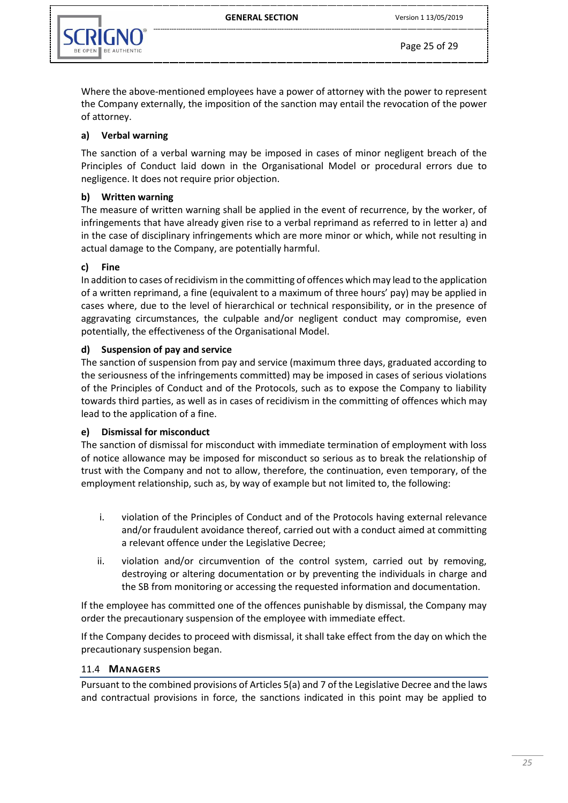

Where the above-mentioned employees have a power of attorney with the power to represent the Company externally, the imposition of the sanction may entail the revocation of the power of attorney.

# **a) Verbal warning**

The sanction of a verbal warning may be imposed in cases of minor negligent breach of the Principles of Conduct laid down in the Organisational Model or procedural errors due to negligence. It does not require prior objection.

## **b) Written warning**

The measure of written warning shall be applied in the event of recurrence, by the worker, of infringements that have already given rise to a verbal reprimand as referred to in letter a) and in the case of disciplinary infringements which are more minor or which, while not resulting in actual damage to the Company, are potentially harmful.

#### **c) Fine**

In addition to cases of recidivism in the committing of offences which may lead to the application of a written reprimand, a fine (equivalent to a maximum of three hours' pay) may be applied in cases where, due to the level of hierarchical or technical responsibility, or in the presence of aggravating circumstances, the culpable and/or negligent conduct may compromise, even potentially, the effectiveness of the Organisational Model.

#### **d) Suspension of pay and service**

The sanction of suspension from pay and service (maximum three days, graduated according to the seriousness of the infringements committed) may be imposed in cases of serious violations of the Principles of Conduct and of the Protocols, such as to expose the Company to liability towards third parties, as well as in cases of recidivism in the committing of offences which may lead to the application of a fine.

#### **e) Dismissal for misconduct**

The sanction of dismissal for misconduct with immediate termination of employment with loss of notice allowance may be imposed for misconduct so serious as to break the relationship of trust with the Company and not to allow, therefore, the continuation, even temporary, of the employment relationship, such as, by way of example but not limited to, the following:

- i. violation of the Principles of Conduct and of the Protocols having external relevance and/or fraudulent avoidance thereof, carried out with a conduct aimed at committing a relevant offence under the Legislative Decree;
- ii. violation and/or circumvention of the control system, carried out by removing, destroying or altering documentation or by preventing the individuals in charge and the SB from monitoring or accessing the requested information and documentation.

If the employee has committed one of the offences punishable by dismissal, the Company may order the precautionary suspension of the employee with immediate effect.

If the Company decides to proceed with dismissal, it shall take effect from the day on which the precautionary suspension began.

#### <span id="page-24-0"></span>11.4 **MANAGERS**

Pursuant to the combined provisions of Articles 5(a) and 7 of the Legislative Decree and the laws and contractual provisions in force, the sanctions indicated in this point may be applied to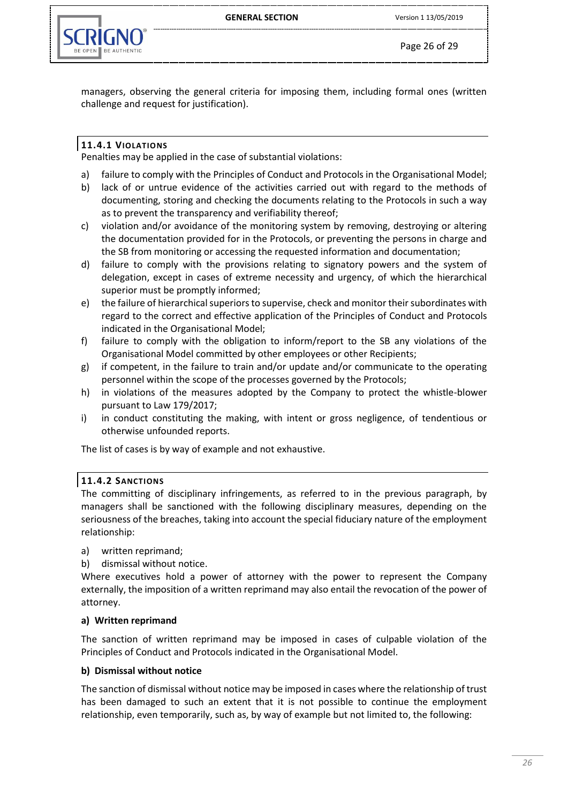GENERAL SECTION Version 1 13/05/2019



Page 26 of 29

managers, observing the general criteria for imposing them, including formal ones (written challenge and request for justification).

# <span id="page-25-0"></span>**11.4.1 VIOLATIONS**

Penalties may be applied in the case of substantial violations:

- a) failure to comply with the Principles of Conduct and Protocols in the Organisational Model;
- b) lack of or untrue evidence of the activities carried out with regard to the methods of documenting, storing and checking the documents relating to the Protocols in such a way as to prevent the transparency and verifiability thereof;
- c) violation and/or avoidance of the monitoring system by removing, destroying or altering the documentation provided for in the Protocols, or preventing the persons in charge and the SB from monitoring or accessing the requested information and documentation;
- d) failure to comply with the provisions relating to signatory powers and the system of delegation, except in cases of extreme necessity and urgency, of which the hierarchical superior must be promptly informed;
- e) the failure of hierarchical superiors to supervise, check and monitor their subordinates with regard to the correct and effective application of the Principles of Conduct and Protocols indicated in the Organisational Model;
- f) failure to comply with the obligation to inform/report to the SB any violations of the Organisational Model committed by other employees or other Recipients;
- g) if competent, in the failure to train and/or update and/or communicate to the operating personnel within the scope of the processes governed by the Protocols;
- h) in violations of the measures adopted by the Company to protect the whistle-blower pursuant to Law 179/2017;
- i) in conduct constituting the making, with intent or gross negligence, of tendentious or otherwise unfounded reports.

The list of cases is by way of example and not exhaustive.

# <span id="page-25-1"></span>**11.4.2 SANCTIONS**

The committing of disciplinary infringements, as referred to in the previous paragraph, by managers shall be sanctioned with the following disciplinary measures, depending on the seriousness of the breaches, taking into account the special fiduciary nature of the employment relationship:

- a) written reprimand;
- b) dismissal without notice.

Where executives hold a power of attorney with the power to represent the Company externally, the imposition of a written reprimand may also entail the revocation of the power of attorney.

# **a) Written reprimand**

The sanction of written reprimand may be imposed in cases of culpable violation of the Principles of Conduct and Protocols indicated in the Organisational Model.

# **b) Dismissal without notice**

The sanction of dismissal without notice may be imposed in cases where the relationship of trust has been damaged to such an extent that it is not possible to continue the employment relationship, even temporarily, such as, by way of example but not limited to, the following: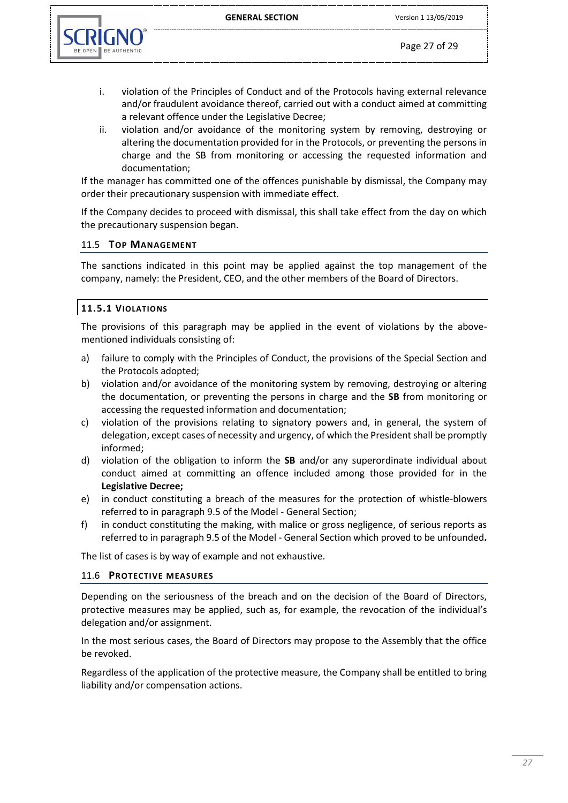

- i. violation of the Principles of Conduct and of the Protocols having external relevance and/or fraudulent avoidance thereof, carried out with a conduct aimed at committing a relevant offence under the Legislative Decree;
- ii. violation and/or avoidance of the monitoring system by removing, destroying or altering the documentation provided for in the Protocols, or preventing the persons in charge and the SB from monitoring or accessing the requested information and documentation;

If the manager has committed one of the offences punishable by dismissal, the Company may order their precautionary suspension with immediate effect.

If the Company decides to proceed with dismissal, this shall take effect from the day on which the precautionary suspension began.

#### <span id="page-26-0"></span>11.5 **TOP MANAGEMENT**

The sanctions indicated in this point may be applied against the top management of the company, namely: the President, CEO, and the other members of the Board of Directors.

#### <span id="page-26-1"></span>**11.5.1 VIOLATIONS**

The provisions of this paragraph may be applied in the event of violations by the abovementioned individuals consisting of:

- a) failure to comply with the Principles of Conduct, the provisions of the Special Section and the Protocols adopted;
- b) violation and/or avoidance of the monitoring system by removing, destroying or altering the documentation, or preventing the persons in charge and the **SB** from monitoring or accessing the requested information and documentation;
- c) violation of the provisions relating to signatory powers and, in general, the system of delegation, except cases of necessity and urgency, of which the President shall be promptly informed;
- d) violation of the obligation to inform the **SB** and/or any superordinate individual about conduct aimed at committing an offence included among those provided for in the **Legislative Decree;**
- e) in conduct constituting a breach of the measures for the protection of whistle-blowers referred to in paragraph 9.5 of the Model - General Section;
- f) in conduct constituting the making, with malice or gross negligence, of serious reports as referred to in paragraph 9.5 of the Model - General Section which proved to be unfounded**.**

The list of cases is by way of example and not exhaustive.

#### <span id="page-26-2"></span>11.6 **PROTECTIVE MEASURES**

Depending on the seriousness of the breach and on the decision of the Board of Directors, protective measures may be applied, such as, for example, the revocation of the individual's delegation and/or assignment.

In the most serious cases, the Board of Directors may propose to the Assembly that the office be revoked.

Regardless of the application of the protective measure, the Company shall be entitled to bring liability and/or compensation actions.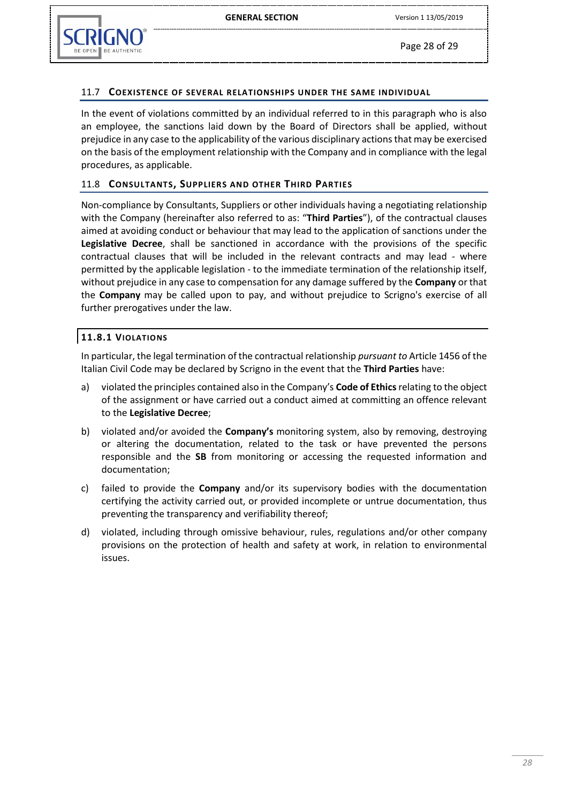

#### <span id="page-27-0"></span>11.7 **COEXISTENCE OF SEVERAL RELATIONSHIPS UNDER THE SAME INDIVIDUAL**

In the event of violations committed by an individual referred to in this paragraph who is also an employee, the sanctions laid down by the Board of Directors shall be applied, without prejudice in any case to the applicability of the various disciplinary actions that may be exercised on the basis of the employment relationship with the Company and in compliance with the legal procedures, as applicable.

#### <span id="page-27-1"></span>11.8 **CONSULTANTS, SUPPLIERS AND OTHER THIRD PARTIES**

Non-compliance by Consultants, Suppliers or other individuals having a negotiating relationship with the Company (hereinafter also referred to as: "**Third Parties**"), of the contractual clauses aimed at avoiding conduct or behaviour that may lead to the application of sanctions under the **Legislative Decree**, shall be sanctioned in accordance with the provisions of the specific contractual clauses that will be included in the relevant contracts and may lead - where permitted by the applicable legislation - to the immediate termination of the relationship itself, without prejudice in any case to compensation for any damage suffered by the **Company** or that the **Company** may be called upon to pay, and without prejudice to Scrigno's exercise of all further prerogatives under the law.

#### <span id="page-27-2"></span>**11.8.1 VIOLATIONS**

In particular, the legal termination of the contractual relationship *pursuant to* Article 1456 of the Italian Civil Code may be declared by Scrigno in the event that the **Third Parties** have:

- a) violated the principles contained also in the Company's **Code of Ethics** relating to the object of the assignment or have carried out a conduct aimed at committing an offence relevant to the **Legislative Decree**;
- b) violated and/or avoided the **Company's** monitoring system, also by removing, destroying or altering the documentation, related to the task or have prevented the persons responsible and the **SB** from monitoring or accessing the requested information and documentation;
- c) failed to provide the **Company** and/or its supervisory bodies with the documentation certifying the activity carried out, or provided incomplete or untrue documentation, thus preventing the transparency and verifiability thereof;
- d) violated, including through omissive behaviour, rules, regulations and/or other company provisions on the protection of health and safety at work, in relation to environmental issues.